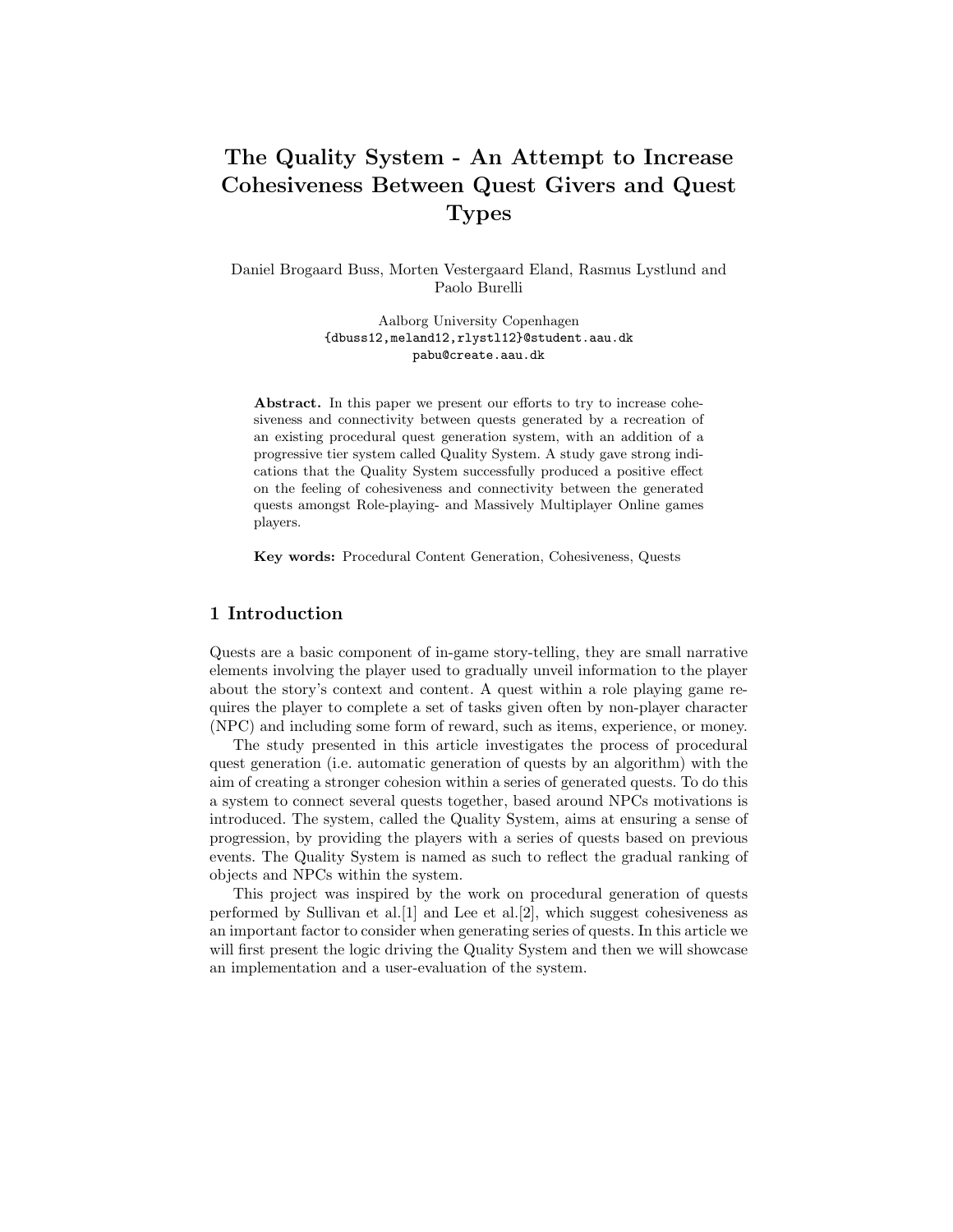# The Quality System - An Attempt to Increase Cohesiveness Between Quest Givers and Quest Types

Daniel Brogaard Buss, Morten Vestergaard Eland, Rasmus Lystlund and Paolo Burelli

> Aalborg University Copenhagen {dbuss12,meland12,rlystl12}@student.aau.dk pabu@create.aau.dk

Abstract. In this paper we present our efforts to try to increase cohesiveness and connectivity between quests generated by a recreation of an existing procedural quest generation system, with an addition of a progressive tier system called Quality System. A study gave strong indications that the Quality System successfully produced a positive effect on the feeling of cohesiveness and connectivity between the generated quests amongst Role-playing- and Massively Multiplayer Online games players.

Key words: Procedural Content Generation, Cohesiveness, Quests

#### 1 Introduction

Quests are a basic component of in-game story-telling, they are small narrative elements involving the player used to gradually unveil information to the player about the story's context and content. A quest within a role playing game requires the player to complete a set of tasks given often by non-player character (NPC) and including some form of reward, such as items, experience, or money.

The study presented in this article investigates the process of procedural quest generation (i.e. automatic generation of quests by an algorithm) with the aim of creating a stronger cohesion within a series of generated quests. To do this a system to connect several quests together, based around NPCs motivations is introduced. The system, called the Quality System, aims at ensuring a sense of progression, by providing the players with a series of quests based on previous events. The Quality System is named as such to reflect the gradual ranking of objects and NPCs within the system.

This project was inspired by the work on procedural generation of quests performed by Sullivan et al.[1] and Lee et al.[2], which suggest cohesiveness as an important factor to consider when generating series of quests. In this article we will first present the logic driving the Quality System and then we will showcase an implementation and a user-evaluation of the system.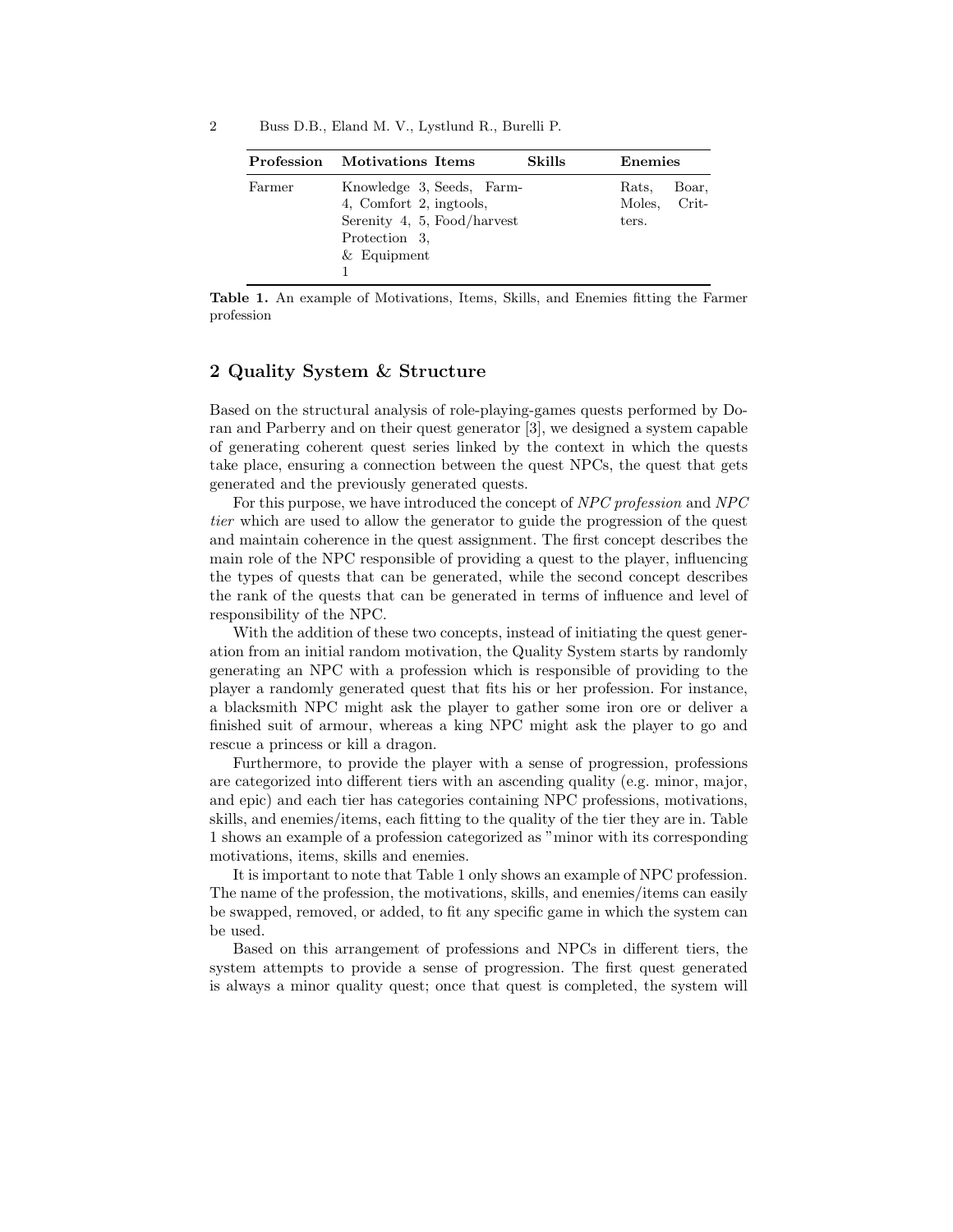|        | <b>Profession</b> Motivations Items                    | <b>Skills</b> | Enemies         |       |
|--------|--------------------------------------------------------|---------------|-----------------|-------|
| Farmer | Knowledge 3, Seeds, Farm-                              |               | Rats.           | Boar, |
|        | 4, Comfort 2, ingtools,<br>Serenity 4, 5, Food/harvest |               | Moles,<br>ters. | Crit- |
|        | Protection 3,                                          |               |                 |       |
|        | $&$ Equipment                                          |               |                 |       |
|        |                                                        |               |                 |       |

Table 1. An example of Motivations, Items, Skills, and Enemies fitting the Farmer profession

### 2 Quality System & Structure

Based on the structural analysis of role-playing-games quests performed by Doran and Parberry and on their quest generator [3], we designed a system capable of generating coherent quest series linked by the context in which the quests take place, ensuring a connection between the quest NPCs, the quest that gets generated and the previously generated quests.

For this purpose, we have introduced the concept of NPC profession and NPC tier which are used to allow the generator to guide the progression of the quest and maintain coherence in the quest assignment. The first concept describes the main role of the NPC responsible of providing a quest to the player, influencing the types of quests that can be generated, while the second concept describes the rank of the quests that can be generated in terms of influence and level of responsibility of the NPC.

With the addition of these two concepts, instead of initiating the quest generation from an initial random motivation, the Quality System starts by randomly generating an NPC with a profession which is responsible of providing to the player a randomly generated quest that fits his or her profession. For instance, a blacksmith NPC might ask the player to gather some iron ore or deliver a finished suit of armour, whereas a king NPC might ask the player to go and rescue a princess or kill a dragon.

Furthermore, to provide the player with a sense of progression, professions are categorized into different tiers with an ascending quality (e.g. minor, major, and epic) and each tier has categories containing NPC professions, motivations, skills, and enemies/items, each fitting to the quality of the tier they are in. Table 1 shows an example of a profession categorized as "minor with its corresponding motivations, items, skills and enemies.

It is important to note that Table 1 only shows an example of NPC profession. The name of the profession, the motivations, skills, and enemies/items can easily be swapped, removed, or added, to fit any specific game in which the system can be used.

Based on this arrangement of professions and NPCs in different tiers, the system attempts to provide a sense of progression. The first quest generated is always a minor quality quest; once that quest is completed, the system will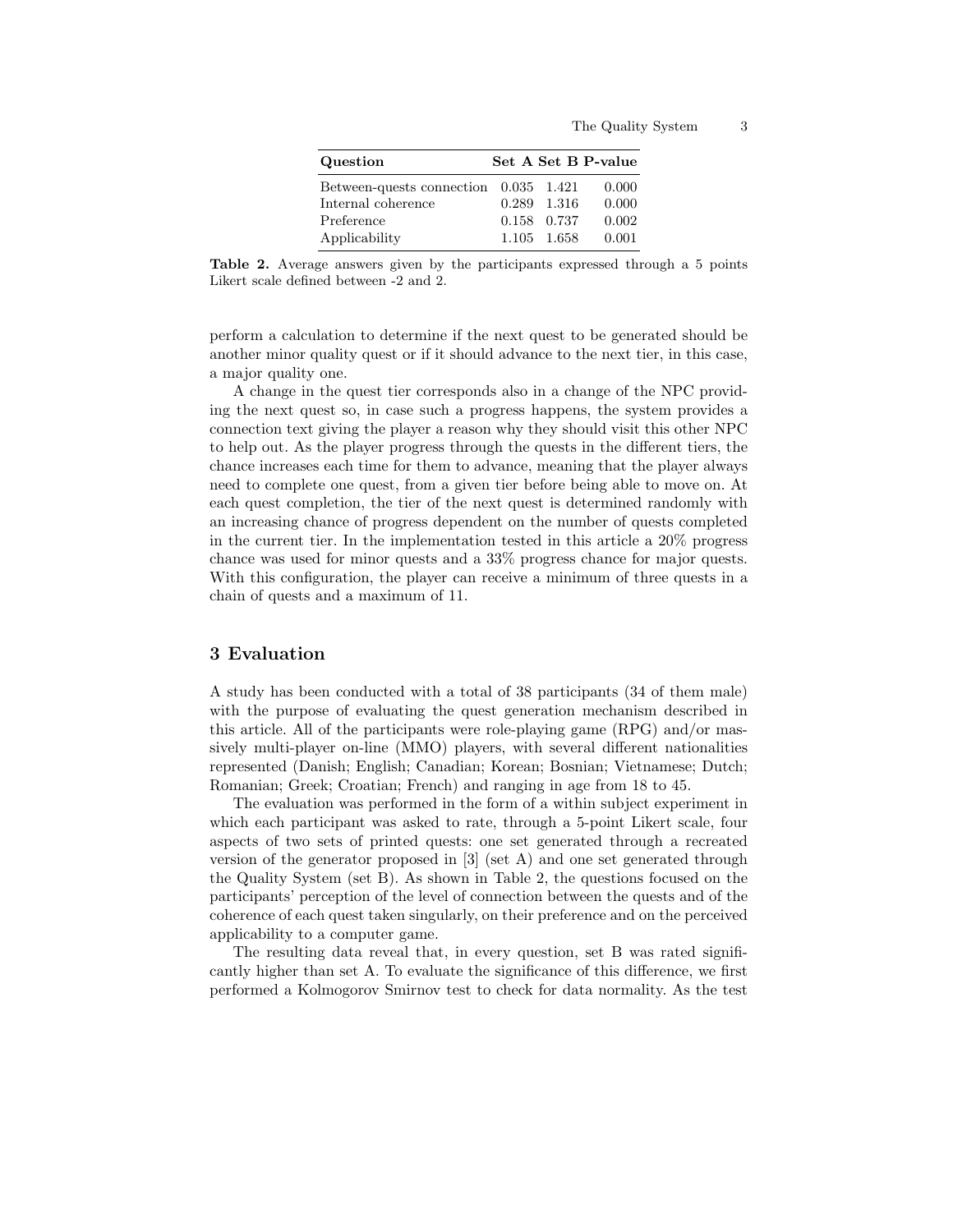| Question                              |             | Set A Set B P-value |
|---------------------------------------|-------------|---------------------|
| Between-quests connection 0.035 1.421 |             | 0.000               |
| Internal coherence                    | 0.289 1.316 | 0.000               |
| Preference                            | 0.158 0.737 | 0.002               |
| Applicability                         | 1.105 1.658 | 0.001               |

Table 2. Average answers given by the participants expressed through a 5 points Likert scale defined between -2 and 2.

perform a calculation to determine if the next quest to be generated should be another minor quality quest or if it should advance to the next tier, in this case, a major quality one.

A change in the quest tier corresponds also in a change of the NPC providing the next quest so, in case such a progress happens, the system provides a connection text giving the player a reason why they should visit this other NPC to help out. As the player progress through the quests in the different tiers, the chance increases each time for them to advance, meaning that the player always need to complete one quest, from a given tier before being able to move on. At each quest completion, the tier of the next quest is determined randomly with an increasing chance of progress dependent on the number of quests completed in the current tier. In the implementation tested in this article a 20% progress chance was used for minor quests and a 33% progress chance for major quests. With this configuration, the player can receive a minimum of three quests in a chain of quests and a maximum of 11.

#### 3 Evaluation

A study has been conducted with a total of 38 participants (34 of them male) with the purpose of evaluating the quest generation mechanism described in this article. All of the participants were role-playing game (RPG) and/or massively multi-player on-line (MMO) players, with several different nationalities represented (Danish; English; Canadian; Korean; Bosnian; Vietnamese; Dutch; Romanian; Greek; Croatian; French) and ranging in age from 18 to 45.

The evaluation was performed in the form of a within subject experiment in which each participant was asked to rate, through a 5-point Likert scale, four aspects of two sets of printed quests: one set generated through a recreated version of the generator proposed in [3] (set A) and one set generated through the Quality System (set B). As shown in Table 2, the questions focused on the participants' perception of the level of connection between the quests and of the coherence of each quest taken singularly, on their preference and on the perceived applicability to a computer game.

The resulting data reveal that, in every question, set B was rated significantly higher than set A. To evaluate the significance of this difference, we first performed a Kolmogorov Smirnov test to check for data normality. As the test